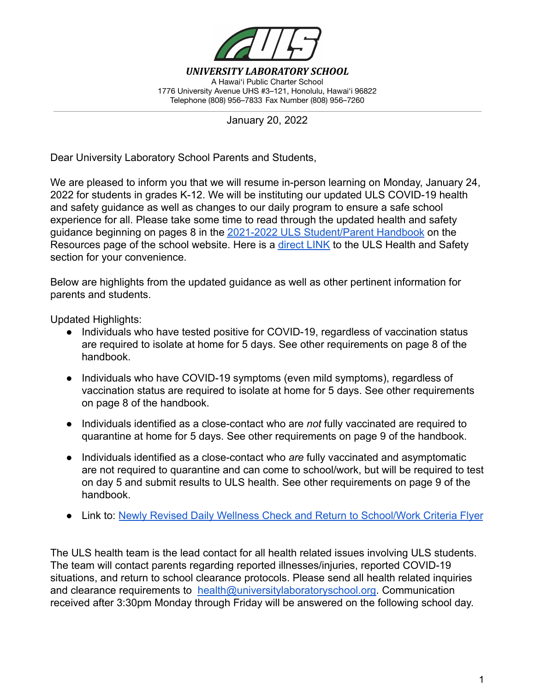

*UNIVERSITY LABORATORY SCHOOL* A Hawai'i Public Charter School 1776 University Avenue UHS #3–121, Honolulu, Hawai'i 96822 Telephone (808) 956–7833 Fax Number (808) 956–7260

January 20, 2022

Dear University Laboratory School Parents and Students,

We are pleased to inform you that we will resume in-person learning on Monday, January 24, 2022 for students in grades K-12. We will be instituting our updated ULS COVID-19 health and safety guidance as well as changes to our daily program to ensure a safe school experience for all. Please take some time to read through the updated health and safety guidance beginning on pages 8 in the 2021-2022 ULS [Student/Parent Handbook](https://www.universitylaboratoryschool.org/resources/) on the Resources page of the school website. Here is a [direct](https://drive.google.com/file/d/17kYg7oUTquy6MLBT9b7kjxNwxMSA4DGx/view?usp=sharing) LINK to the ULS Health and Safety section for your convenience.

Below are highlights from the updated guidance as well as other pertinent information for parents and students.

Updated Highlights:

- Individuals who have tested positive for COVID-19, regardless of vaccination status are required to isolate at home for 5 days. See other requirements on page 8 of the handbook.
- Individuals who have COVID-19 symptoms (even mild symptoms), regardless of vaccination status are required to isolate at home for 5 days. See other requirements on page 8 of the handbook.
- Individuals identified as a close-contact who are *not* fully vaccinated are required to quarantine at home for 5 days. See other requirements on page 9 of the handbook.
- Individuals identified as a close-contact who *are* fully vaccinated and asymptomatic are not required to quarantine and can come to school/work, but will be required to test on day 5 and submit results to ULS health. See other requirements on page 9 of the handbook.
- Link to: [Newly Revised Daily Wellness Check and Return](https://drive.google.com/file/d/12L-upKw0EjBCdlFuNrPOZhth0oPvWbh5/view?usp=sharing) to School/Work Criteria Flyer

The ULS health team is the lead contact for all health related issues involving ULS students. The team will contact parents regarding reported illnesses/injuries, reported COVID-19 situations, and return to school clearance protocols. Please send all health related inquiries and clearance requirements to [health@universitylaboratoryschool.org.](mailto:health@universitylaboratoryschool.org) Communication received after 3:30pm Monday through Friday will be answered on the following school day.